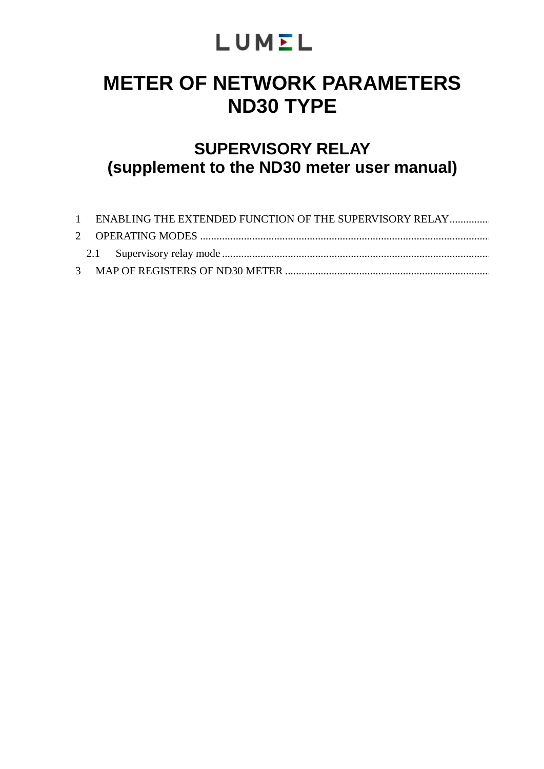# LUMEL

# **METER OF NETWORK PARAMETERS ND30 TYPE**

# **SUPERVISORY RELAY (supplement to the ND30 meter user manual)**

| 1 ENABLING THE EXTENDED FUNCTION OF THE SUPERVISORY RELAY |  |
|-----------------------------------------------------------|--|
|                                                           |  |
|                                                           |  |
|                                                           |  |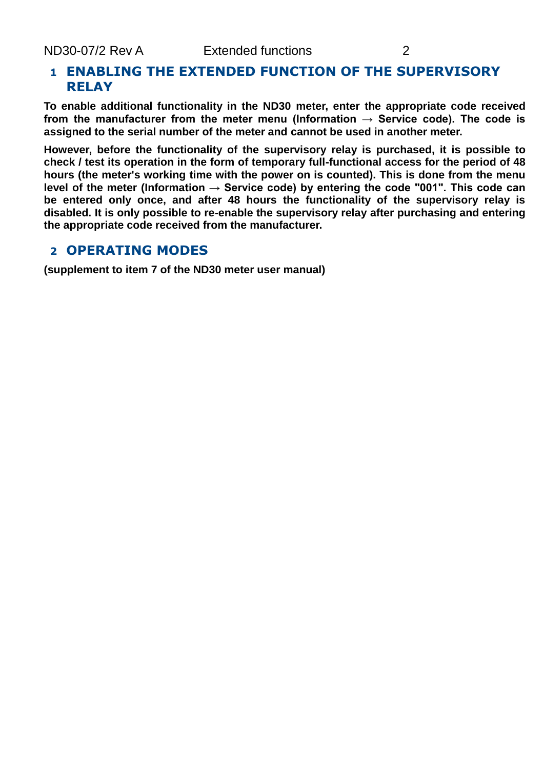# **1 ENABLING THE EXTENDED FUNCTION OF THE SUPERVISORY RELAY**

**To enable additional functionality in the ND30 meter, enter the appropriate code received**  from the manufacturer from the meter menu (Information  $\rightarrow$  Service code). The code is **assigned to the serial number of the meter and cannot be used in another meter.**

**However, before the functionality of the supervisory relay is purchased, it is possible to check / test its operation in the form of temporary full-functional access for the period of 48 hours (the meter's working time with the power on is counted). This is done from the menu level of the meter (Information → Service code) by entering the code "001". This code can be entered only once, and after 48 hours the functionality of the supervisory relay is disabled. It is only possible to re-enable the supervisory relay after purchasing and entering the appropriate code received from the manufacturer.**

## **2 OPERATING MODES**

**(supplement to item 7 of the ND30 meter user manual)**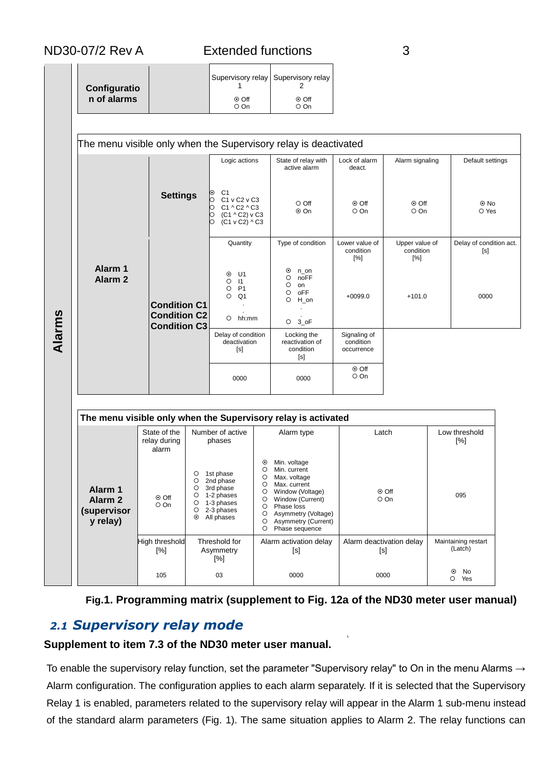| Configuratio | Supervisory relay Supervisory relay |                     |
|--------------|-------------------------------------|---------------------|
| n of alarms  | $\odot$ Off<br>O On                 | $\odot$ Off<br>O On |

|        |                                                                                                                                           |                                                                   |                                                    | Logic actions                                                                                                 |                                                        | The menu visible only when the Supervisory relay is deactivated<br>State of relay with                                                    | Lock of alarm                           | Alarm signaling                    |  | Default settings               |
|--------|-------------------------------------------------------------------------------------------------------------------------------------------|-------------------------------------------------------------------|----------------------------------------------------|---------------------------------------------------------------------------------------------------------------|--------------------------------------------------------|-------------------------------------------------------------------------------------------------------------------------------------------|-----------------------------------------|------------------------------------|--|--------------------------------|
|        |                                                                                                                                           | <b>Settings</b>                                                   |                                                    | C <sub>1</sub><br>ၜ<br>C1 v C2 v C3<br>Ю<br>C1 ^ C2 ^ C3<br>Ю<br>þ<br>(C1 ^ C2) v C3<br>b<br>$(C1 v C2)$ ^ C3 |                                                        | active alarm<br>$\circ$ Off<br>⊙ On                                                                                                       | deact.<br>⊙ Off<br>O On                 | ⊙ Off<br>O On                      |  | $\odot$ No<br>O Yes            |
|        |                                                                                                                                           |                                                                   |                                                    |                                                                                                               |                                                        | Type of condition                                                                                                                         | Lower value of<br>condition<br>[%]      | Upper value of<br>condition<br>[%] |  | Delay of condition act.<br>[s] |
| Alarms | Alarm 1<br>Alarm <sub>2</sub>                                                                                                             | <b>Condition C1</b><br><b>Condition C2</b><br><b>Condition C3</b> |                                                    | U1<br>$\odot$<br>$\circ$<br>$\vert$ 11<br>P <sub>1</sub><br>O<br>$\circ$<br>Q1<br>$O$ hh:mm                   |                                                        | $_{\odot}$<br>n on<br>$\circ$<br>noFF<br>$\circ$<br>on<br>$\circ$<br>oFF<br>$\circ$<br>H on<br>$O3$ oF                                    | $+0099.0$                               | $+101.0$                           |  | 0000                           |
|        |                                                                                                                                           |                                                                   |                                                    | Delay of condition<br>deactivation<br>[s]                                                                     |                                                        | Locking the<br>reactivation of<br>condition<br>[s]                                                                                        | Signaling of<br>condition<br>occurrence |                                    |  |                                |
|        |                                                                                                                                           |                                                                   |                                                    | 0000                                                                                                          |                                                        | 0000                                                                                                                                      | ⊙ Off<br>O On                           |                                    |  |                                |
|        | The menu visible only when the Supervisory relay is activated<br>State of the<br>Number of active<br>Latch<br>Low threshold<br>Alarm type |                                                                   |                                                    |                                                                                                               |                                                        |                                                                                                                                           |                                         |                                    |  |                                |
|        |                                                                                                                                           | relay during<br>alarm                                             |                                                    | phases                                                                                                        |                                                        |                                                                                                                                           |                                         |                                    |  | [%]                            |
|        | Alarm 1<br>Alarm <sub>2</sub><br>(supervisor                                                                                              | ⊙ Off<br>O On                                                     | $\circ$<br>$\circ$<br>O<br>O<br>$\circ$<br>$\circ$ | 1st phase<br>2nd phase<br>3rd phase<br>1-2 phases<br>1-3 phases<br>2-3 phases                                 | $\odot$<br>$\circ$<br>O<br>$\circ$<br>O<br>O<br>O<br>O | Min. voltage<br>Min. current<br>Max. voltage<br>Max. current<br>Window (Voltage)<br>Window (Current)<br>Phase loss<br>Asymmetry (Voltage) |                                         | $\odot$ Off<br>O On                |  | 095                            |
|        | y relay)                                                                                                                                  |                                                                   | $\odot$                                            | All phases                                                                                                    | O<br>$\circ$                                           | Asymmetry (Current)<br>Phase sequence                                                                                                     |                                         |                                    |  |                                |

## **Fig.1. Programming matrix (supplement to Fig. 12a of the ND30 meter user manual)**

105 03 0000 0000 0000 0000 0 0 No

Yes

# *2.1 Supervisory relay mode*

### **Supplement to item 7.3 of the ND30 meter user manual.**

To enable the supervisory relay function, set the parameter "Supervisory relay" to On in the menu Alarms  $\rightarrow$ Alarm configuration. The configuration applies to each alarm separately. If it is selected that the Supervisory Relay 1 is enabled, parameters related to the supervisory relay will appear in the Alarm 1 sub-menu instead of the standard alarm parameters (Fig. 1). The same situation applies to Alarm 2. The relay functions can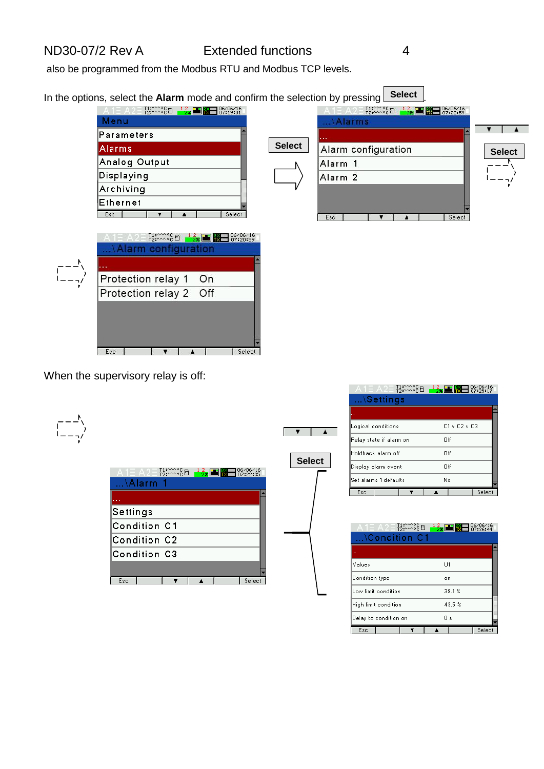also be programmed from the Modbus RTU and Modbus TCP levels.

| In the options, select the Alarm mode and confirm the selection by pressing                                                                                                                                                                                                                       |               | <b>Select</b>                                                                                                            |               |
|---------------------------------------------------------------------------------------------------------------------------------------------------------------------------------------------------------------------------------------------------------------------------------------------------|---------------|--------------------------------------------------------------------------------------------------------------------------|---------------|
| $\frac{11}{12}$ : $\frac{200}{120}$ $\frac{12}{2}$ = $\frac{2}{12}$ = $\frac{120}{120}$ = $\frac{120}{120}$ = $\frac{120}{120}$ = $\frac{120}{120}$ = $\frac{120}{120}$ = $\frac{120}{120}$ = $\frac{120}{120}$ = $\frac{120}{120}$ = $\frac{120}{120}$ = $\frac{120}{120}$ = $\frac{120$<br>Menu |               | $^{11}_{22}$ (2) $^{12}_{23}$ (2) $^{12}_{28}$ (3) $^{12}_{29}$ (3) $^{16/06/16}_{27}$ (3) $^{16}_{27}$ (20:59<br>Alarms |               |
| Parameters                                                                                                                                                                                                                                                                                        |               |                                                                                                                          |               |
| Alarms                                                                                                                                                                                                                                                                                            | <b>Select</b> | Alarm configuration                                                                                                      | <b>Select</b> |
| Analog Output                                                                                                                                                                                                                                                                                     |               | Alarm 1                                                                                                                  |               |
| Displaying                                                                                                                                                                                                                                                                                        |               | Alarm <sub>2</sub>                                                                                                       |               |
| Archiving                                                                                                                                                                                                                                                                                         |               |                                                                                                                          |               |
| Ethernet<br>Select                                                                                                                                                                                                                                                                                |               |                                                                                                                          |               |
| Exit<br>$^{11}_{72}$ ( $^{12}_{72}$ ( $^{12}_{72}$ ) $^{12}_{72}$ ( $^{12}_{72}$ ) $^{12}_{72}$ ( $^{12}_{72}$ ) $^{12}_{72}$ ( $^{12}_{72}$ ) $^{15}_{72}$ ( $^{16}_{72}$ ) $^{16}_{72}$ ( $^{16}_{72}$ ) $^{16}_{72}$ ( $^{16}_{72}$ ) $^{16}_{72}$<br><b>Alarm configuration</b>               |               | Select<br>Esc                                                                                                            |               |
| Protection relay 1<br>On                                                                                                                                                                                                                                                                          |               |                                                                                                                          |               |
| Protection relay 2 Off                                                                                                                                                                                                                                                                            |               |                                                                                                                          |               |
| Select<br>Esc                                                                                                                                                                                                                                                                                     |               |                                                                                                                          |               |

**Select**

 $\begin{array}{|c|c|c|c|c|}\hline \textbf{v} & \textbf{a} & \textbf{a} \ \hline \end{array}$ 

When the supervisory relay is off:

| Ι |   |
|---|---|
| l |   |
|   | I |

| A 1 = 14 2 -<br>…\Alarm 1 |
|---------------------------|
|                           |
| Settings                  |
| Condition C1              |
| Condition C2              |
| Condition C3              |
|                           |
| Select<br>Esc             |

| $1 = A2 = \frac{11}{12}$ | $\frac{12}{28}$    | 88 8/06/16 |  |
|--------------------------|--------------------|------------|--|
| \Settings                |                    |            |  |
|                          |                    |            |  |
| Logical conditions       | $C1$ v $C2$ v $C3$ |            |  |
| Relay state if alarm on  | Πff                |            |  |
| Holdback alarm off       | Πff                |            |  |
| Display alarm event      | Off                |            |  |
| Set alarms 1 defaults    | No                 |            |  |
| Esc                      |                    | Select     |  |

|                |                       | $^{11}_{72}$ $^{22}_{72}$ $^{26}_{72}$ $^{11}_{72}$ |     | $\frac{12}{28}$ $\blacksquare$ $\blacksquare$ $^{06/06/16}_{07:26:44}$ |        |  |
|----------------|-----------------------|-----------------------------------------------------|-----|------------------------------------------------------------------------|--------|--|
|                |                       | $\ldots$ \Condition C1                              |     |                                                                        |        |  |
|                |                       |                                                     |     |                                                                        |        |  |
|                |                       |                                                     |     |                                                                        |        |  |
| Values         |                       |                                                     | 111 |                                                                        |        |  |
| Condition type |                       |                                                     | on  |                                                                        |        |  |
|                | Low limit condition   |                                                     |     | 39.1%                                                                  |        |  |
|                | High limit condition  |                                                     |     | 43.5~%                                                                 |        |  |
|                | Delay to condition on |                                                     |     | Οs                                                                     |        |  |
| Esc            |                       |                                                     |     |                                                                        | Select |  |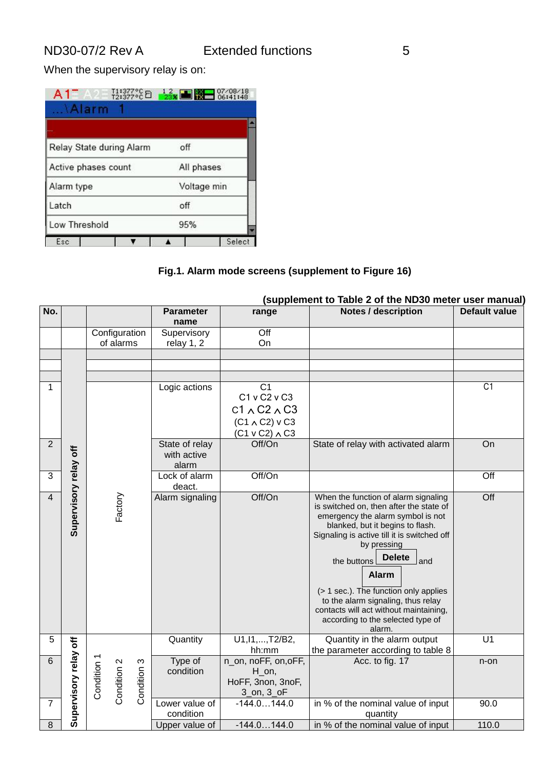When the supervisory relay is on:

| Α1<br>$\Lambda$ Alarm    | $11:377^{\circ}$ C $2:377^{\circ}$ C $2:38$ $3:377^{\circ}$ C $2:377^{\circ}$ C $2:377^{\circ}$ C $2:377^{\circ}$ C $3:377^{\circ}$ C $3:377^{\circ}$ C $3:377^{\circ}$ C $3:377^{\circ}$ C $3:377^{\circ}$ C $3:377^{\circ}$ C $3:377^{\circ}$ C $3:377^{\circ}$ C $3:377^{\circ}$ C $3:377^{\circ}$ C $3:37$ |        |
|--------------------------|----------------------------------------------------------------------------------------------------------------------------------------------------------------------------------------------------------------------------------------------------------------------------------------------------------------|--------|
|                          |                                                                                                                                                                                                                                                                                                                |        |
| Relay State during Alarm | off                                                                                                                                                                                                                                                                                                            |        |
| Active phases count      | All phases                                                                                                                                                                                                                                                                                                     |        |
| Alarm type               | Voltage min                                                                                                                                                                                                                                                                                                    |        |
| Latch                    | off                                                                                                                                                                                                                                                                                                            |        |
| Low Threshold            | 95%                                                                                                                                                                                                                                                                                                            |        |
| Esc                      |                                                                                                                                                                                                                                                                                                                | Select |

### **Fig.1. Alarm mode screens (supplement to Figure 16)**

|                | (supplement to Table 2 of the ND30 meter user manual) |                                           |                  |                                          |                                                                              |                      |  |  |  |
|----------------|-------------------------------------------------------|-------------------------------------------|------------------|------------------------------------------|------------------------------------------------------------------------------|----------------------|--|--|--|
| No.            |                                                       |                                           | <b>Parameter</b> | range                                    | <b>Notes / description</b>                                                   | <b>Default value</b> |  |  |  |
|                |                                                       |                                           | name             |                                          |                                                                              |                      |  |  |  |
|                |                                                       | Configuration                             | Supervisory      | Off                                      |                                                                              |                      |  |  |  |
|                |                                                       | of alarms                                 | relay 1, 2       | On                                       |                                                                              |                      |  |  |  |
|                |                                                       |                                           |                  |                                          |                                                                              |                      |  |  |  |
|                |                                                       |                                           |                  |                                          |                                                                              |                      |  |  |  |
|                |                                                       |                                           |                  |                                          |                                                                              |                      |  |  |  |
| 1              |                                                       |                                           | Logic actions    | C <sub>1</sub>                           |                                                                              | C1                   |  |  |  |
|                |                                                       |                                           |                  | C1 v C2 v C3                             |                                                                              |                      |  |  |  |
|                |                                                       |                                           |                  | $C1 \wedge C2 \wedge C3$                 |                                                                              |                      |  |  |  |
|                |                                                       |                                           |                  | $(C1 \wedge C2)$ v C3                    |                                                                              |                      |  |  |  |
|                |                                                       |                                           |                  | $(C1 v C2) \wedge C3$                    |                                                                              |                      |  |  |  |
| $\overline{2}$ |                                                       |                                           | State of relay   | Off/On                                   | State of relay with activated alarm                                          | On                   |  |  |  |
|                |                                                       |                                           | with active      |                                          |                                                                              |                      |  |  |  |
|                |                                                       |                                           | alarm            |                                          |                                                                              |                      |  |  |  |
| 3              |                                                       |                                           | Lock of alarm    | Off/On                                   |                                                                              | Off                  |  |  |  |
|                |                                                       |                                           | deact.           |                                          |                                                                              |                      |  |  |  |
| $\overline{4}$ | Supervisory relay off                                 | Factory                                   | Alarm signaling  | Off/On                                   | When the function of alarm signaling                                         | Off                  |  |  |  |
|                |                                                       |                                           |                  |                                          | is switched on, then after the state of<br>emergency the alarm symbol is not |                      |  |  |  |
|                |                                                       |                                           |                  |                                          | blanked, but it begins to flash.                                             |                      |  |  |  |
|                |                                                       |                                           |                  |                                          | Signaling is active till it is switched off                                  |                      |  |  |  |
|                |                                                       |                                           |                  |                                          | by pressing                                                                  |                      |  |  |  |
|                |                                                       |                                           |                  |                                          | <b>Delete</b><br>the buttons<br>and                                          |                      |  |  |  |
|                |                                                       |                                           |                  |                                          |                                                                              |                      |  |  |  |
|                |                                                       |                                           |                  |                                          | <b>Alarm</b>                                                                 |                      |  |  |  |
|                |                                                       |                                           |                  |                                          | (> 1 sec.). The function only applies                                        |                      |  |  |  |
|                |                                                       |                                           |                  |                                          | to the alarm signaling, thus relay                                           |                      |  |  |  |
|                |                                                       |                                           |                  |                                          | contacts will act without maintaining,                                       |                      |  |  |  |
|                |                                                       |                                           |                  |                                          | according to the selected type of                                            |                      |  |  |  |
| 5              |                                                       |                                           |                  | U1, I1,  , T2/B2,                        | alarm.<br>Quantity in the alarm output                                       | $\overline{U}$ 1     |  |  |  |
|                | tf                                                    |                                           | Quantity         | hh:mm                                    | the parameter according to table 8                                           |                      |  |  |  |
| 6              | Supervisory relay                                     |                                           | Type of          | n_on, noFF, on, oFF,                     | Acc. to fig. 17                                                              | n-on                 |  |  |  |
|                |                                                       |                                           | condition        | $H_$ on,                                 |                                                                              |                      |  |  |  |
|                |                                                       |                                           |                  | HoFF, 3non, 3noF,                        |                                                                              |                      |  |  |  |
|                |                                                       | Condition 1<br>Condition 2<br>Condition 3 |                  | $3$ <sub>on</sub> , $3$ <sub>o</sub> $F$ |                                                                              |                      |  |  |  |
| 7              |                                                       |                                           | Lower value of   | $-144.0144.0$                            | in % of the nominal value of input                                           | 90.0                 |  |  |  |
|                |                                                       |                                           | condition        |                                          | quantity                                                                     |                      |  |  |  |
| 8              |                                                       |                                           | Upper value of   | $-144.0144.0$                            | in % of the nominal value of input                                           | 110.0                |  |  |  |

# **(supplement to Table 2 of the ND30 meter user manual)**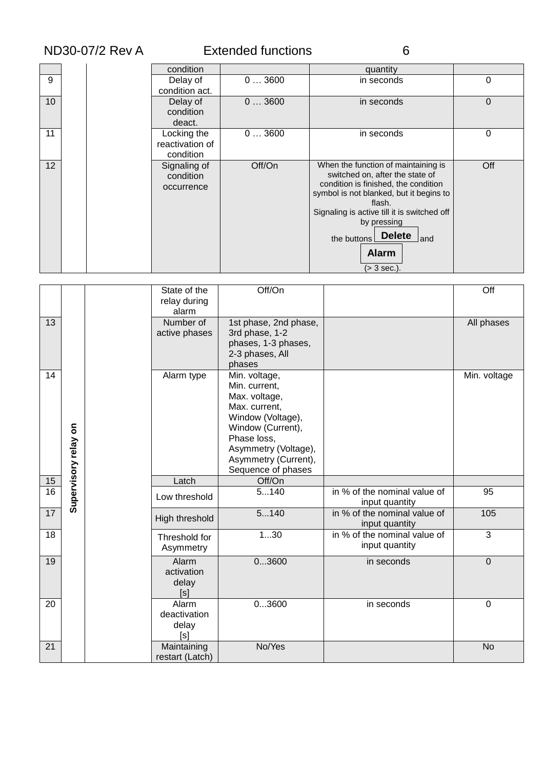|                 | ND30-07/2 Rev A |                                             | <b>Extended functions</b> | 6                                                                                                                                                                                                                                                                                                      |     |
|-----------------|-----------------|---------------------------------------------|---------------------------|--------------------------------------------------------------------------------------------------------------------------------------------------------------------------------------------------------------------------------------------------------------------------------------------------------|-----|
|                 |                 | condition                                   |                           | quantity                                                                                                                                                                                                                                                                                               |     |
| 9               |                 | Delay of<br>condition act.                  | 03600                     | in seconds                                                                                                                                                                                                                                                                                             | 0   |
| 10 <sup>1</sup> |                 | Delay of<br>condition<br>deact.             | 03600                     | in seconds                                                                                                                                                                                                                                                                                             | 0   |
| 11              |                 | Locking the<br>reactivation of<br>condition | 03600                     | in seconds                                                                                                                                                                                                                                                                                             | 0   |
| 12 <sup>2</sup> |                 | Signaling of<br>condition<br>occurrence     | Off/On                    | When the function of maintaining is<br>switched on, after the state of<br>condition is finished, the condition<br>symbol is not blanked, but it begins to<br>flash.<br>Signaling is active till it is switched off<br>by pressing<br><b>Delete</b><br>the buttons<br>and<br><b>Alarm</b><br>(> 3 sec.) | Off |

|                 |                                   | State of the<br>relay during<br>alarm                | Off/On                                                                                                                                                                                          |                                                | Off            |
|-----------------|-----------------------------------|------------------------------------------------------|-------------------------------------------------------------------------------------------------------------------------------------------------------------------------------------------------|------------------------------------------------|----------------|
| 13              |                                   | Number of<br>active phases                           | 1st phase, 2nd phase,<br>3rd phase, 1-2<br>phases, 1-3 phases,<br>2-3 phases, All<br>phases                                                                                                     |                                                | All phases     |
| 14              | $\mathbf{s}$<br>Supervisory relay | Alarm type                                           | Min. voltage,<br>Min. current,<br>Max. voltage,<br>Max. current.<br>Window (Voltage),<br>Window (Current),<br>Phase loss,<br>Asymmetry (Voltage),<br>Asymmetry (Current),<br>Sequence of phases |                                                | Min. voltage   |
| 15              |                                   | Latch                                                | Off/On                                                                                                                                                                                          |                                                |                |
| $\overline{16}$ |                                   | Low threshold                                        | 5140                                                                                                                                                                                            | in % of the nominal value of<br>input quantity | 95             |
|                 |                                   |                                                      | 5140                                                                                                                                                                                            | in % of the nominal value of                   | 105            |
| 17              |                                   | High threshold                                       |                                                                                                                                                                                                 | input quantity                                 |                |
| 18              |                                   | Threshold for<br>Asymmetry                           | 130                                                                                                                                                                                             | in % of the nominal value of<br>input quantity | $\overline{3}$ |
| 19              |                                   | Alarm<br>activation<br>delay<br>[s]                  | 03600                                                                                                                                                                                           | in seconds                                     | $\overline{0}$ |
| 20<br>21        |                                   | Alarm<br>deactivation<br>delay<br>[s]<br>Maintaining | 03600<br>No/Yes                                                                                                                                                                                 | in seconds                                     | 0<br><b>No</b> |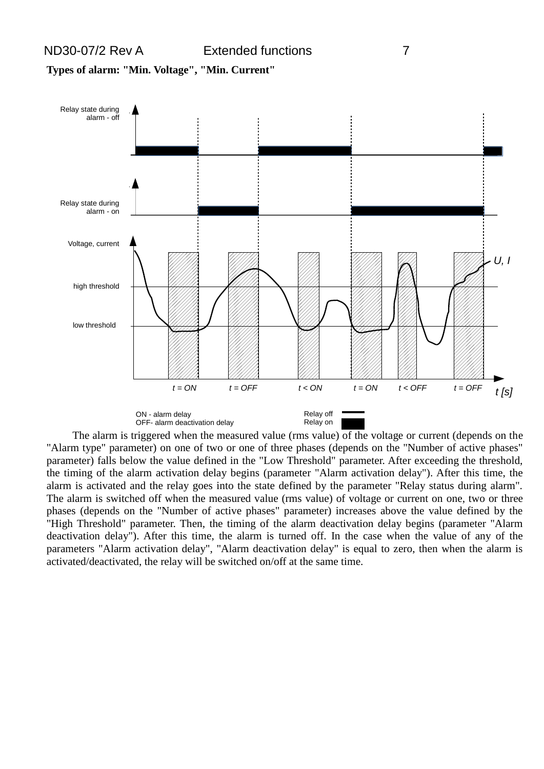

The alarm is triggered when the measured value (rms value) of the voltage or current (depends on the "Alarm type" parameter) on one of two or one of three phases (depends on the "Number of active phases" parameter) falls below the value defined in the "Low Threshold" parameter. After exceeding the threshold, the timing of the alarm activation delay begins (parameter "Alarm activation delay"). After this time, the alarm is activated and the relay goes into the state defined by the parameter "Relay status during alarm". The alarm is switched off when the measured value (rms value) of voltage or current on one, two or three phases (depends on the "Number of active phases" parameter) increases above the value defined by the "High Threshold" parameter. Then, the timing of the alarm deactivation delay begins (parameter "Alarm deactivation delay"). After this time, the alarm is turned off. In the case when the value of any of the parameters "Alarm activation delay", "Alarm deactivation delay" is equal to zero, then when the alarm is activated/deactivated, the relay will be switched on/off at the same time.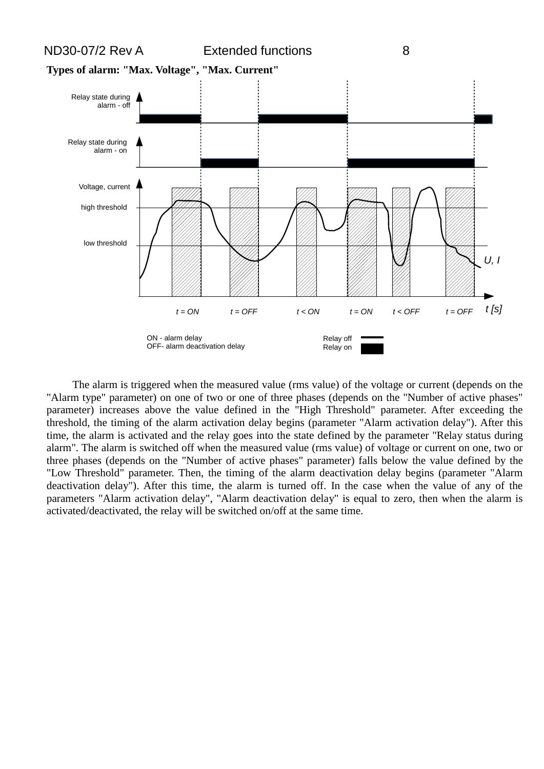

The alarm is triggered when the measured value (rms value) of the voltage or current (depends on the "Alarm type" parameter) on one of two or one of three phases (depends on the "Number of active phases" parameter) increases above the value defined in the "High Threshold" parameter. After exceeding the threshold, the timing of the alarm activation delay begins (parameter "Alarm activation delay"). After this time, the alarm is activated and the relay goes into the state defined by the parameter "Relay status during alarm". The alarm is switched off when the measured value (rms value) of voltage or current on one, two or three phases (depends on the "Number of active phases" parameter) falls below the value defined by the "Low Threshold" parameter. Then, the timing of the alarm deactivation delay begins (parameter "Alarm deactivation delay"). After this time, the alarm is turned off. In the case when the value of any of the parameters "Alarm activation delay", "Alarm deactivation delay" is equal to zero, then when the alarm is activated/deactivated, the relay will be switched on/off at the same time.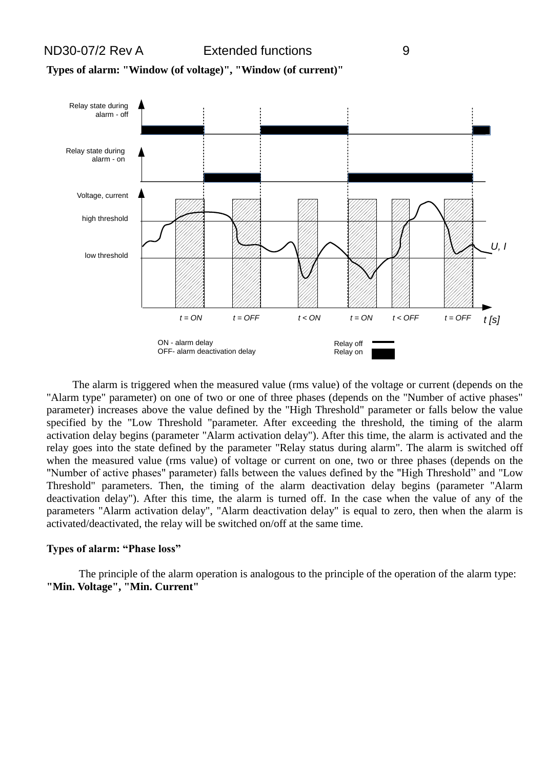



The alarm is triggered when the measured value (rms value) of the voltage or current (depends on the "Alarm type" parameter) on one of two or one of three phases (depends on the "Number of active phases" parameter) increases above the value defined by the "High Threshold" parameter or falls below the value specified by the "Low Threshold "parameter. After exceeding the threshold, the timing of the alarm activation delay begins (parameter "Alarm activation delay"). After this time, the alarm is activated and the relay goes into the state defined by the parameter "Relay status during alarm". The alarm is switched off when the measured value (rms value) of voltage or current on one, two or three phases (depends on the "Number of active phases" parameter) falls between the values defined by the "High Threshold" and "Low Threshold" parameters. Then, the timing of the alarm deactivation delay begins (parameter "Alarm deactivation delay"). After this time, the alarm is turned off. In the case when the value of any of the parameters "Alarm activation delay", "Alarm deactivation delay" is equal to zero, then when the alarm is activated/deactivated, the relay will be switched on/off at the same time.

#### **Types of alarm: "Phase loss"**

The principle of the alarm operation is analogous to the principle of the operation of the alarm type: **"Min. Voltage", "Min. Current"**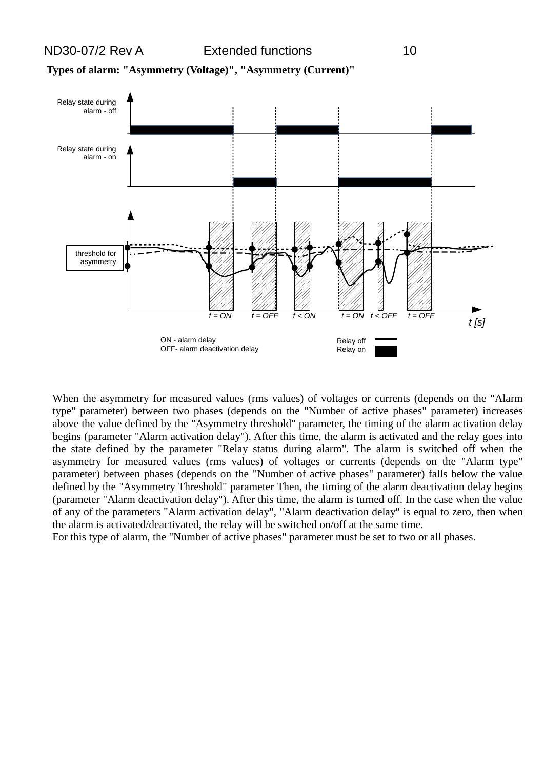



When the asymmetry for measured values (rms values) of voltages or currents (depends on the "Alarm type" parameter) between two phases (depends on the "Number of active phases" parameter) increases above the value defined by the "Asymmetry threshold" parameter, the timing of the alarm activation delay begins (parameter "Alarm activation delay"). After this time, the alarm is activated and the relay goes into the state defined by the parameter "Relay status during alarm". The alarm is switched off when the asymmetry for measured values (rms values) of voltages or currents (depends on the "Alarm type" parameter) between phases (depends on the "Number of active phases" parameter) falls below the value defined by the "Asymmetry Threshold" parameter Then, the timing of the alarm deactivation delay begins (parameter "Alarm deactivation delay"). After this time, the alarm is turned off. In the case when the value of any of the parameters "Alarm activation delay", "Alarm deactivation delay" is equal to zero, then when the alarm is activated/deactivated, the relay will be switched on/off at the same time.

For this type of alarm, the "Number of active phases" parameter must be set to two or all phases.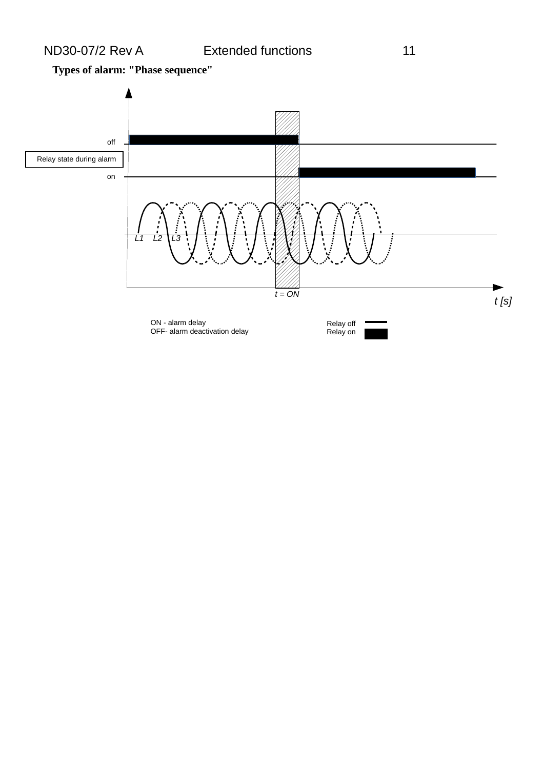**Types of alarm: "Phase sequence"**

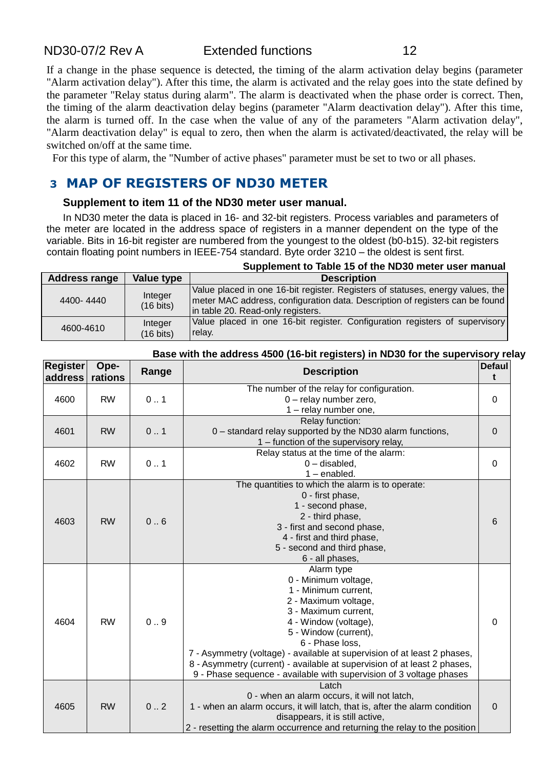If a change in the phase sequence is detected, the timing of the alarm activation delay begins (parameter "Alarm activation delay"). After this time, the alarm is activated and the relay goes into the state defined by the parameter "Relay status during alarm". The alarm is deactivated when the phase order is correct. Then, the timing of the alarm deactivation delay begins (parameter "Alarm deactivation delay"). After this time, the alarm is turned off. In the case when the value of any of the parameters "Alarm activation delay", "Alarm deactivation delay" is equal to zero, then when the alarm is activated/deactivated, the relay will be switched on/off at the same time.

For this type of alarm, the "Number of active phases" parameter must be set to two or all phases.

# **3 MAP OF REGISTERS OF ND30 METER**

#### **Supplement to item 11 of the ND30 meter user manual.**

In ND30 meter the data is placed in 16- and 32-bit registers. Process variables and parameters of the meter are located in the address space of registers in a manner dependent on the type of the variable. Bits in 16-bit register are numbered from the youngest to the oldest (b0-b15). 32-bit registers contain floating point numbers in IEEE-754 standard. Byte order 3210 – the oldest is sent first.

|                      |                                | Supplement to Table 15 of the ND30 meter user manual                                                                                                                                                |
|----------------------|--------------------------------|-----------------------------------------------------------------------------------------------------------------------------------------------------------------------------------------------------|
| <b>Address range</b> | Value type                     | <b>Description</b>                                                                                                                                                                                  |
| 4400-4440            | Integer<br>$(16 \text{ bits})$ | Value placed in one 16-bit register. Registers of statuses, energy values, the<br>meter MAC address, configuration data. Description of registers can be found<br>in table 20. Read-only registers. |
| 4600-4610            | Integer<br>$(16 \text{ bits})$ | Value placed in one 16-bit register. Configuration registers of supervisory<br>relay.                                                                                                               |

#### **Base with the address 4500 (16-bit registers) in ND30 for the supervisory relay**

| <b>Register</b><br>address | Ope-<br>rations | Range | <b>Description</b>                                                          | <b>Defaul</b><br>t    |          |
|----------------------------|-----------------|-------|-----------------------------------------------------------------------------|-----------------------|----------|
|                            |                 |       | The number of the relay for configuration.                                  |                       |          |
| 4600                       | <b>RW</b>       | 0.1   | 0 - relay number zero,                                                      | $\Omega$              |          |
|                            |                 |       | 1 - relay number one,                                                       |                       |          |
|                            |                 |       | Relay function:                                                             |                       |          |
| 4601                       | <b>RW</b>       | 0.1   | 0 - standard relay supported by the ND30 alarm functions,                   | $\mathbf 0$           |          |
|                            |                 |       | 1 - function of the supervisory relay,                                      |                       |          |
|                            |                 |       | Relay status at the time of the alarm:                                      |                       |          |
| 4602                       | <b>RW</b>       | 0.1   | $0$ – disabled,                                                             | 0                     |          |
|                            |                 |       | $1$ – enabled.                                                              |                       |          |
|                            |                 |       | The quantities to which the alarm is to operate:                            |                       |          |
|                            | <b>RW</b>       | 0.6   | 0 - first phase,                                                            | $6\phantom{1}$        |          |
|                            |                 |       | 1 - second phase,                                                           |                       |          |
| 4603                       |                 |       | 2 - third phase,                                                            |                       |          |
|                            |                 |       | 3 - first and second phase,                                                 |                       |          |
|                            |                 |       | 4 - first and third phase,                                                  |                       |          |
|                            |                 |       | 5 - second and third phase,                                                 |                       |          |
|                            |                 |       | 6 - all phases,                                                             |                       |          |
|                            |                 |       | Alarm type                                                                  |                       |          |
|                            |                 |       | 0 - Minimum voltage,                                                        |                       |          |
|                            | <b>RW</b>       |       | 1 - Minimum current,                                                        |                       |          |
|                            |                 |       | 2 - Maximum voltage,                                                        |                       |          |
|                            |                 |       | 3 - Maximum current,                                                        |                       |          |
| 4604                       |                 |       | 0.9                                                                         | 4 - Window (voltage), | $\Omega$ |
|                            |                 |       | 5 - Window (current),                                                       |                       |          |
|                            |                 |       | 6 - Phase loss,                                                             |                       |          |
|                            |                 |       | 7 - Asymmetry (voltage) - available at supervision of at least 2 phases,    |                       |          |
|                            |                 |       | 8 - Asymmetry (current) - available at supervision of at least 2 phases,    |                       |          |
|                            |                 |       | 9 - Phase sequence - available with supervision of 3 voltage phases         |                       |          |
|                            | <b>RW</b>       | 0.2   | Latch                                                                       |                       |          |
|                            |                 |       | 0 - when an alarm occurs, it will not latch,                                |                       |          |
| 4605                       |                 |       | 1 - when an alarm occurs, it will latch, that is, after the alarm condition | $\pmb{0}$             |          |
|                            |                 |       | disappears, it is still active,                                             |                       |          |
|                            |                 |       | 2 - resetting the alarm occurrence and returning the relay to the position  |                       |          |